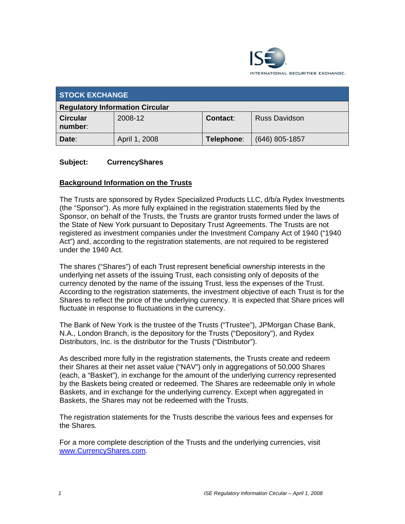

| <b>STOCK EXCHANGE</b>                  |               |                 |                      |  |  |
|----------------------------------------|---------------|-----------------|----------------------|--|--|
| <b>Regulatory Information Circular</b> |               |                 |                      |  |  |
| <b>Circular</b><br>number:             | 2008-12       | <b>Contact:</b> | <b>Russ Davidson</b> |  |  |
| Date:                                  | April 1, 2008 | Telephone:      | $(646)$ 805-1857     |  |  |

### **Subject: CurrencyShares**

#### **Background Information on the Trusts**

The Trusts are sponsored by Rydex Specialized Products LLC, d/b/a Rydex Investments (the "Sponsor"). As more fully explained in the registration statements filed by the Sponsor, on behalf of the Trusts, the Trusts are grantor trusts formed under the laws of the State of New York pursuant to Depositary Trust Agreements. The Trusts are not registered as investment companies under the Investment Company Act of 1940 ("1940 Act") and, according to the registration statements, are not required to be registered under the 1940 Act.

The shares ("Shares") of each Trust represent beneficial ownership interests in the underlying net assets of the issuing Trust, each consisting only of deposits of the currency denoted by the name of the issuing Trust, less the expenses of the Trust. According to the registration statements, the investment objective of each Trust is for the Shares to reflect the price of the underlying currency. It is expected that Share prices will fluctuate in response to fluctuations in the currency.

The Bank of New York is the trustee of the Trusts ("Trustee"), JPMorgan Chase Bank, N.A., London Branch, is the depository for the Trusts ("Depository"), and Rydex Distributors, Inc. is the distributor for the Trusts ("Distributor").

As described more fully in the registration statements, the Trusts create and redeem their Shares at their net asset value ("NAV") only in aggregations of 50,000 Shares (each, a "Basket"), in exchange for the amount of the underlying currency represented by the Baskets being created or redeemed. The Shares are redeemable only in whole Baskets, and in exchange for the underlying currency. Except when aggregated in Baskets, the Shares may not be redeemed with the Trusts.

The registration statements for the Trusts describe the various fees and expenses for the Shares.

For a more complete description of the Trusts and the underlying currencies, visit www.CurrencyShares.com.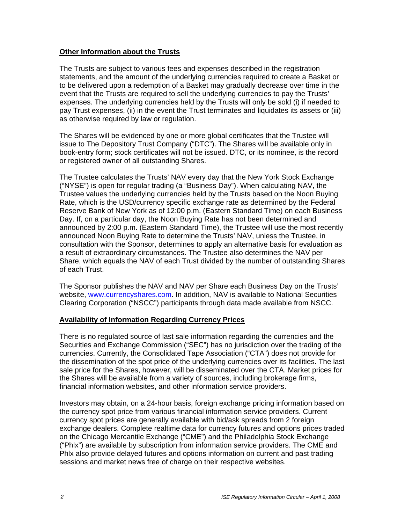#### **Other Information about the Trusts**

The Trusts are subject to various fees and expenses described in the registration statements, and the amount of the underlying currencies required to create a Basket or to be delivered upon a redemption of a Basket may gradually decrease over time in the event that the Trusts are required to sell the underlying currencies to pay the Trusts' expenses. The underlying currencies held by the Trusts will only be sold (i) if needed to pay Trust expenses, (ii) in the event the Trust terminates and liquidates its assets or (iii) as otherwise required by law or regulation.

The Shares will be evidenced by one or more global certificates that the Trustee will issue to The Depository Trust Company ("DTC"). The Shares will be available only in book-entry form; stock certificates will not be issued. DTC, or its nominee, is the record or registered owner of all outstanding Shares.

The Trustee calculates the Trusts' NAV every day that the New York Stock Exchange ("NYSE") is open for regular trading (a "Business Day"). When calculating NAV, the Trustee values the underlying currencies held by the Trusts based on the Noon Buying Rate, which is the USD/currency specific exchange rate as determined by the Federal Reserve Bank of New York as of 12:00 p.m. (Eastern Standard Time) on each Business Day. If, on a particular day, the Noon Buying Rate has not been determined and announced by 2:00 p.m. (Eastern Standard Time), the Trustee will use the most recently announced Noon Buying Rate to determine the Trusts' NAV, unless the Trustee, in consultation with the Sponsor, determines to apply an alternative basis for evaluation as a result of extraordinary circumstances. The Trustee also determines the NAV per Share, which equals the NAV of each Trust divided by the number of outstanding Shares of each Trust.

The Sponsor publishes the NAV and NAV per Share each Business Day on the Trusts' website, www.currencyshares.com. In addition, NAV is available to National Securities Clearing Corporation ("NSCC") participants through data made available from NSCC.

### **Availability of Information Regarding Currency Prices**

There is no regulated source of last sale information regarding the currencies and the Securities and Exchange Commission ("SEC") has no jurisdiction over the trading of the currencies. Currently, the Consolidated Tape Association ("CTA") does not provide for the dissemination of the spot price of the underlying currencies over its facilities. The last sale price for the Shares, however, will be disseminated over the CTA. Market prices for the Shares will be available from a variety of sources, including brokerage firms, financial information websites, and other information service providers.

Investors may obtain, on a 24-hour basis, foreign exchange pricing information based on the currency spot price from various financial information service providers. Current currency spot prices are generally available with bid/ask spreads from 2 foreign exchange dealers. Complete realtime data for currency futures and options prices traded on the Chicago Mercantile Exchange ("CME") and the Philadelphia Stock Exchange ("Phlx") are available by subscription from information service providers. The CME and Phlx also provide delayed futures and options information on current and past trading sessions and market news free of charge on their respective websites.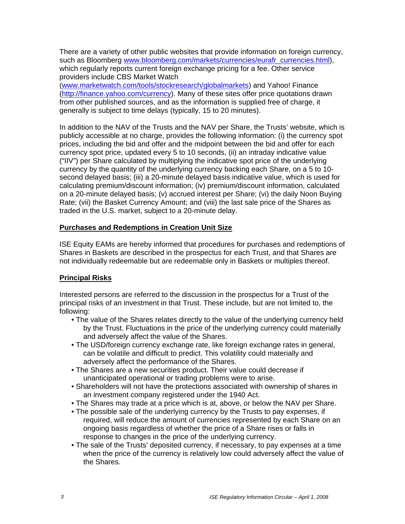There are a variety of other public websites that provide information on foreign currency, such as Bloomberg www.bloomberg.com/markets/currencies/eurafr\_currencies.html), which regularly reports current foreign exchange pricing for a fee. Other service providers include CBS Market Watch

(www.marketwatch.com/tools/stockresearch/globalmarkets) and Yahoo! Finance (http://finance.yahoo.com/currency). Many of these sites offer price quotations drawn from other published sources, and as the information is supplied free of charge, it generally is subject to time delays (typically, 15 to 20 minutes).

In addition to the NAV of the Trusts and the NAV per Share, the Trusts' website, which is publicly accessible at no charge, provides the following information: (i) the currency spot prices, including the bid and offer and the midpoint between the bid and offer for each currency spot price, updated every 5 to 10 seconds, (ii) an intraday indicative value ("IIV") per Share calculated by multiplying the indicative spot price of the underlying currency by the quantity of the underlying currency backing each Share, on a 5 to 10 second delayed basis; (iii) a 20-minute delayed basis indicative value, which is used for calculating premium/discount information; (iv) premium/discount information, calculated on a 20-minute delayed basis; (v) accrued interest per Share; (vi) the daily Noon Buying Rate; (vii) the Basket Currency Amount; and (viii) the last sale price of the Shares as traded in the U.S. market, subject to a 20-minute delay.

### **Purchases and Redemptions in Creation Unit Size**

ISE Equity EAMs are hereby informed that procedures for purchases and redemptions of Shares in Baskets are described in the prospectus for each Trust, and that Shares are not individually redeemable but are redeemable only in Baskets or multiples thereof.

### **Principal Risks**

Interested persons are referred to the discussion in the prospectus for a Trust of the principal risks of an investment in that Trust. These include, but are not limited to, the following:

- The value of the Shares relates directly to the value of the underlying currency held by the Trust. Fluctuations in the price of the underlying currency could materially and adversely affect the value of the Shares.
- The USD/foreign currency exchange rate, like foreign exchange rates in general, can be volatile and difficult to predict. This volatility could materially and adversely affect the performance of the Shares.
- The Shares are a new securities product. Their value could decrease if unanticipated operational or trading problems were to arise.
- Shareholders will not have the protections associated with ownership of shares in an investment company registered under the 1940 Act.
- The Shares may trade at a price which is at, above, or below the NAV per Share.
- The possible sale of the underlying currency by the Trusts to pay expenses, if required, will reduce the amount of currencies represented by each Share on an ongoing basis regardless of whether the price of a Share rises or falls in response to changes in the price of the underlying currency.
- The sale of the Trusts' deposited currency, if necessary, to pay expenses at a time when the price of the currency is relatively low could adversely affect the value of the Shares.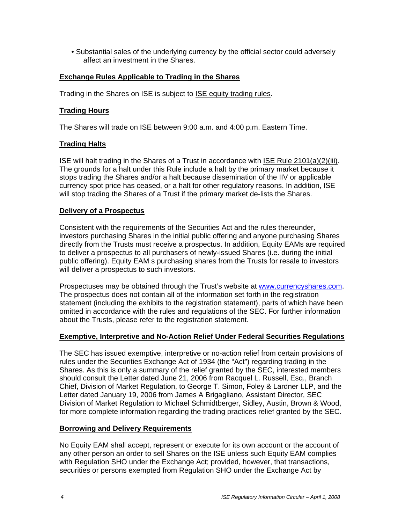• Substantial sales of the underlying currency by the official sector could adversely affect an investment in the Shares.

## **Exchange Rules Applicable to Trading in the Shares**

Trading in the Shares on ISE is subject to ISE equity trading rules.

## **Trading Hours**

The Shares will trade on ISE between 9:00 a.m. and 4:00 p.m. Eastern Time.

### **Trading Halts**

ISE will halt trading in the Shares of a Trust in accordance with ISE Rule 2101(a)(2)(iii). The grounds for a halt under this Rule include a halt by the primary market because it stops trading the Shares and/or a halt because dissemination of the IIV or applicable currency spot price has ceased, or a halt for other regulatory reasons. In addition, ISE will stop trading the Shares of a Trust if the primary market de-lists the Shares.

### **Delivery of a Prospectus**

Consistent with the requirements of the Securities Act and the rules thereunder, investors purchasing Shares in the initial public offering and anyone purchasing Shares directly from the Trusts must receive a prospectus. In addition, Equity EAMs are required to deliver a prospectus to all purchasers of newly-issued Shares (i.e. during the initial public offering). Equity EAM s purchasing shares from the Trusts for resale to investors will deliver a prospectus to such investors.

Prospectuses may be obtained through the Trust's website at www.currencyshares.com. The prospectus does not contain all of the information set forth in the registration statement (including the exhibits to the registration statement), parts of which have been omitted in accordance with the rules and regulations of the SEC. For further information about the Trusts, please refer to the registration statement.

### **Exemptive, Interpretive and No-Action Relief Under Federal Securities Regulations**

The SEC has issued exemptive, interpretive or no-action relief from certain provisions of rules under the Securities Exchange Act of 1934 (the "Act") regarding trading in the Shares. As this is only a summary of the relief granted by the SEC, interested members should consult the Letter dated June 21, 2006 from Racquel L. Russell, Esq., Branch Chief, Division of Market Regulation, to George T. Simon, Foley & Lardner LLP, and the Letter dated January 19, 2006 from James A Brigagliano, Assistant Director, SEC Division of Market Regulation to Michael Schmidtberger, Sidley, Austin, Brown & Wood, for more complete information regarding the trading practices relief granted by the SEC.

### **Borrowing and Delivery Requirements**

No Equity EAM shall accept, represent or execute for its own account or the account of any other person an order to sell Shares on the ISE unless such Equity EAM complies with Regulation SHO under the Exchange Act; provided, however, that transactions, securities or persons exempted from Regulation SHO under the Exchange Act by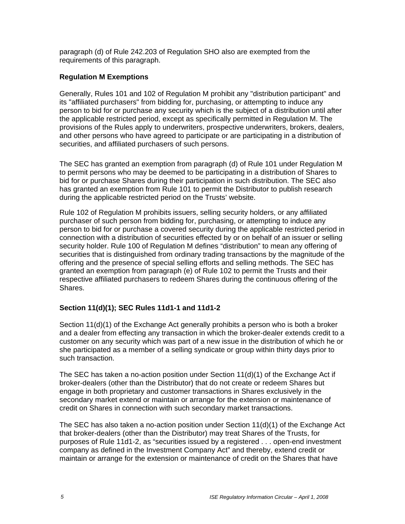paragraph (d) of Rule 242.203 of Regulation SHO also are exempted from the requirements of this paragraph.

## **Regulation M Exemptions**

Generally, Rules 101 and 102 of Regulation M prohibit any "distribution participant" and its "affiliated purchasers" from bidding for, purchasing, or attempting to induce any person to bid for or purchase any security which is the subject of a distribution until after the applicable restricted period, except as specifically permitted in Regulation M. The provisions of the Rules apply to underwriters, prospective underwriters, brokers, dealers, and other persons who have agreed to participate or are participating in a distribution of securities, and affiliated purchasers of such persons.

The SEC has granted an exemption from paragraph (d) of Rule 101 under Regulation M to permit persons who may be deemed to be participating in a distribution of Shares to bid for or purchase Shares during their participation in such distribution. The SEC also has granted an exemption from Rule 101 to permit the Distributor to publish research during the applicable restricted period on the Trusts' website.

Rule 102 of Regulation M prohibits issuers, selling security holders, or any affiliated purchaser of such person from bidding for, purchasing, or attempting to induce any person to bid for or purchase a covered security during the applicable restricted period in connection with a distribution of securities effected by or on behalf of an issuer or selling security holder. Rule 100 of Regulation M defines "distribution" to mean any offering of securities that is distinguished from ordinary trading transactions by the magnitude of the offering and the presence of special selling efforts and selling methods. The SEC has granted an exemption from paragraph (e) of Rule 102 to permit the Trusts and their respective affiliated purchasers to redeem Shares during the continuous offering of the Shares.

## **Section 11(d)(1); SEC Rules 11d1-1 and 11d1-2**

Section 11(d)(1) of the Exchange Act generally prohibits a person who is both a broker and a dealer from effecting any transaction in which the broker-dealer extends credit to a customer on any security which was part of a new issue in the distribution of which he or she participated as a member of a selling syndicate or group within thirty days prior to such transaction.

The SEC has taken a no-action position under Section 11(d)(1) of the Exchange Act if broker-dealers (other than the Distributor) that do not create or redeem Shares but engage in both proprietary and customer transactions in Shares exclusively in the secondary market extend or maintain or arrange for the extension or maintenance of credit on Shares in connection with such secondary market transactions.

The SEC has also taken a no-action position under Section  $11(d)(1)$  of the Exchange Act that broker-dealers (other than the Distributor) may treat Shares of the Trusts, for purposes of Rule 11d1-2, as "securities issued by a registered . . . open-end investment company as defined in the Investment Company Act" and thereby, extend credit or maintain or arrange for the extension or maintenance of credit on the Shares that have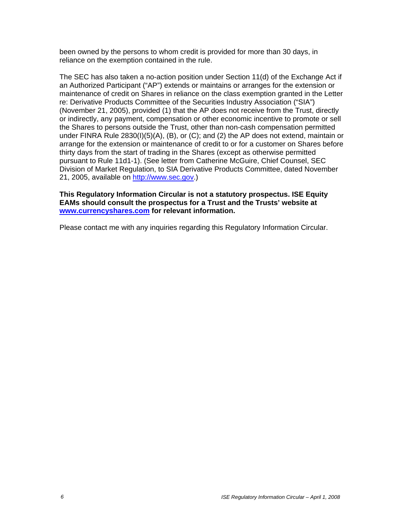been owned by the persons to whom credit is provided for more than 30 days, in reliance on the exemption contained in the rule.

The SEC has also taken a no-action position under Section 11(d) of the Exchange Act if an Authorized Participant ("AP") extends or maintains or arranges for the extension or maintenance of credit on Shares in reliance on the class exemption granted in the Letter re: Derivative Products Committee of the Securities Industry Association ("SIA") (November 21, 2005), provided (1) that the AP does not receive from the Trust, directly or indirectly, any payment, compensation or other economic incentive to promote or sell the Shares to persons outside the Trust, other than non-cash compensation permitted under FINRA Rule 2830(I)(5)(A), (B), or (C); and (2) the AP does not extend, maintain or arrange for the extension or maintenance of credit to or for a customer on Shares before thirty days from the start of trading in the Shares (except as otherwise permitted pursuant to Rule 11d1-1). (See letter from Catherine McGuire, Chief Counsel, SEC Division of Market Regulation, to SIA Derivative Products Committee, dated November 21, 2005, available on http://www.sec.gov.)

#### **This Regulatory Information Circular is not a statutory prospectus. ISE Equity EAMs should consult the prospectus for a Trust and the Trusts' website at www.currencyshares.com for relevant information.**

Please contact me with any inquiries regarding this Regulatory Information Circular.